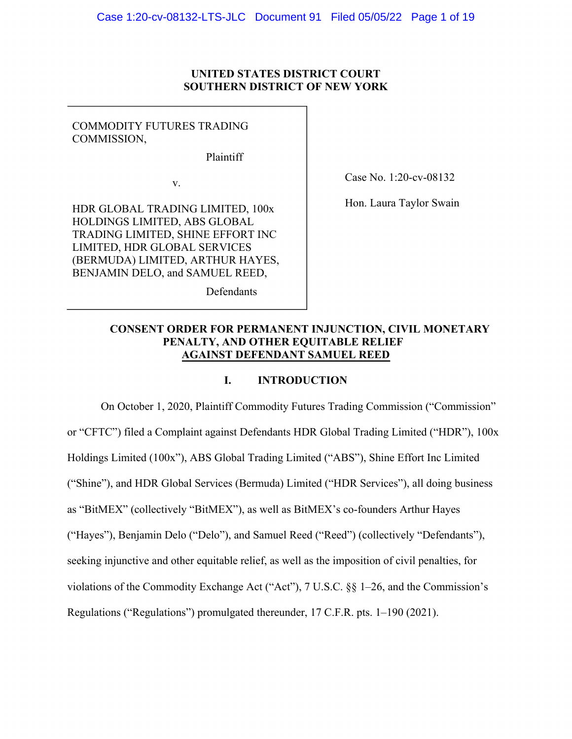### **UNITED STATES DISTRICT COURT SOUTHERN DISTRICT OF NEW YORK**

### COMMODITY FUTURES TRADING COMMISSION,

Plaintiff

Defendants

v.

HDR GLOBAL TRADING LIMITED, 100x HOLDINGS LIMITED, ABS GLOBAL TRADING LIMITED, SHINE EFFORT INC LIMITED, HDR GLOBAL SERVICES (BERMUDA) LIMITED, ARTHUR HAYES, BENJAMIN DELO, and SAMUEL REED,

Case No. 1:20-cv-08132

Hon. Laura Taylor Swain

# **CONSENT ORDER FOR PERMANENT INJUNCTION, CIVIL MONETARY PENALTY, AND OTHER EQUITABLE RELIEF AGAINST DEFENDANT SAMUEL REED**

### **I. INTRODUCTION**

On October 1, 2020, Plaintiff Commodity Futures Trading Commission ("Commission" or "CFTC") filed a Complaint against Defendants HDR Global Trading Limited ("HDR"), 100x Holdings Limited (100x"), ABS Global Trading Limited ("ABS"), Shine Effort Inc Limited ("Shine"), and HDR Global Services (Bermuda) Limited ("HDR Services"), all doing business as "BitMEX" (collectively "BitMEX"), as well as BitMEX's co-founders Arthur Hayes ("Hayes"), Benjamin Delo ("Delo"), and Samuel Reed ("Reed") (collectively "Defendants"), seeking injunctive and other equitable relief, as well as the imposition of civil penalties, for violations of the Commodity Exchange Act ("Act"), 7 U.S.C. §§ 1–26, and the Commission's Regulations ("Regulations") promulgated thereunder, 17 C.F.R. pts. 1–190 (2021).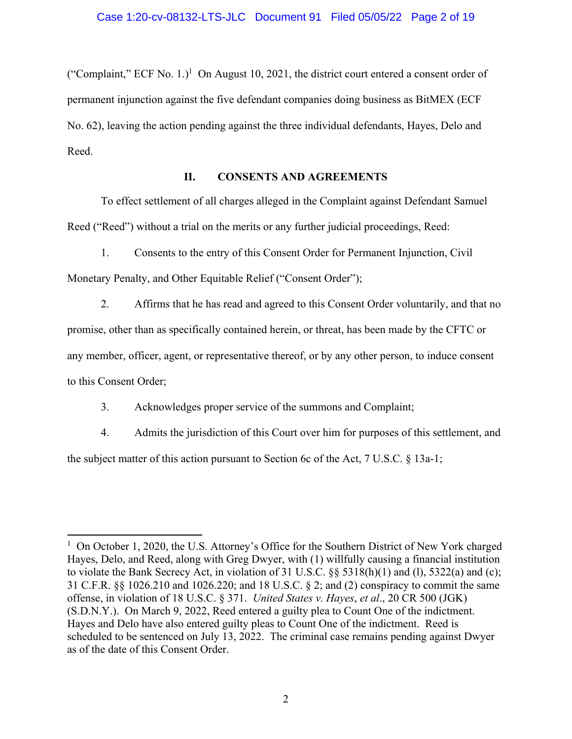("Complaint," ECF No. 1.)<sup>1</sup> On August 10, 2021, the district court entered a consent order of permanent injunction against the five defendant companies doing business as BitMEX (ECF No. 62), leaving the action pending against the three individual defendants, Hayes, Delo and Reed.

### **II. CONSENTS AND AGREEMENTS**

To effect settlement of all charges alleged in the Complaint against Defendant Samuel Reed ("Reed") without a trial on the merits or any further judicial proceedings, Reed:

1. Consents to the entry of this Consent Order for Permanent Injunction, Civil Monetary Penalty, and Other Equitable Relief ("Consent Order");

2. Affirms that he has read and agreed to this Consent Order voluntarily, and that no promise, other than as specifically contained herein, or threat, has been made by the CFTC or any member, officer, agent, or representative thereof, or by any other person, to induce consent to this Consent Order;

3. Acknowledges proper service of the summons and Complaint;

4. Admits the jurisdiction of this Court over him for purposes of this settlement, and the subject matter of this action pursuant to Section 6c of the Act, 7 U.S.C. § 13a-1;

<sup>&</sup>lt;sup>1</sup> On October 1, 2020, the U.S. Attorney's Office for the Southern District of New York charged Hayes, Delo, and Reed, along with Greg Dwyer, with (1) willfully causing a financial institution to violate the Bank Secrecy Act, in violation of 31 U.S.C. §§ 5318(h)(1) and (l), 5322(a) and (c); 31 C.F.R. §§ 1026.210 and 1026.220; and 18 U.S.C. § 2; and (2) conspiracy to commit the same offense, in violation of 18 U.S.C. § 371. *United States v. Hayes*, *et al*., 20 CR 500 (JGK) (S.D.N.Y.). On March 9, 2022, Reed entered a guilty plea to Count One of the indictment. Hayes and Delo have also entered guilty pleas to Count One of the indictment. Reed is scheduled to be sentenced on July 13, 2022. The criminal case remains pending against Dwyer as of the date of this Consent Order.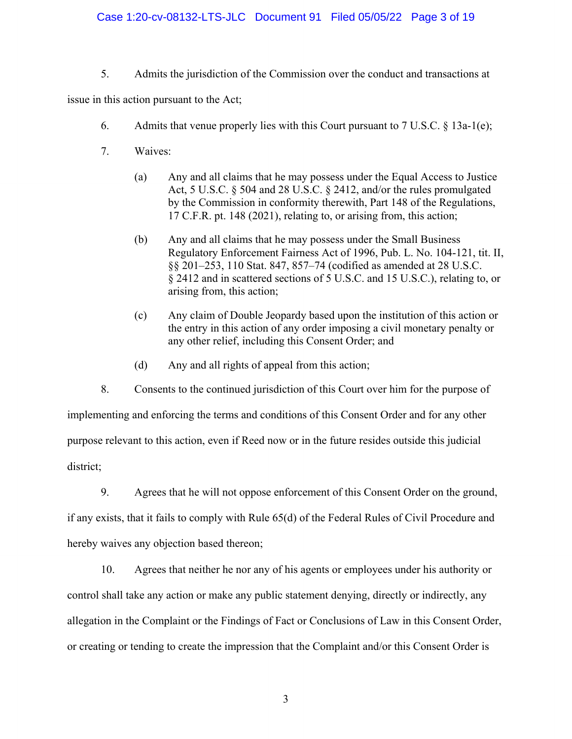### Case 1:20-cv-08132-LTS-JLC Document 91 Filed 05/05/22 Page 3 of 19

5. Admits the jurisdiction of the Commission over the conduct and transactions at

issue in this action pursuant to the Act;

- 6. Admits that venue properly lies with this Court pursuant to  $7 \text{ U.S.C. } § 13a-1(e);$
- 7. Waives:
	- (a) Any and all claims that he may possess under the Equal Access to Justice Act, 5 U.S.C. § 504 and 28 U.S.C. § 2412, and/or the rules promulgated by the Commission in conformity therewith, Part 148 of the Regulations, 17 C.F.R. pt. 148 (2021), relating to, or arising from, this action;
	- (b) Any and all claims that he may possess under the Small Business Regulatory Enforcement Fairness Act of 1996, Pub. L. No. 104-121, tit. II, §§ 201–253, 110 Stat. 847, 857–74 (codified as amended at 28 U.S.C. § 2412 and in scattered sections of 5 U.S.C. and 15 U.S.C.), relating to, or arising from, this action;
	- (c) Any claim of Double Jeopardy based upon the institution of this action or the entry in this action of any order imposing a civil monetary penalty or any other relief, including this Consent Order; and
	- (d) Any and all rights of appeal from this action;

8. Consents to the continued jurisdiction of this Court over him for the purpose of implementing and enforcing the terms and conditions of this Consent Order and for any other purpose relevant to this action, even if Reed now or in the future resides outside this judicial district;

9. Agrees that he will not oppose enforcement of this Consent Order on the ground, if any exists, that it fails to comply with Rule 65(d) of the Federal Rules of Civil Procedure and hereby waives any objection based thereon;

10. Agrees that neither he nor any of his agents or employees under his authority or control shall take any action or make any public statement denying, directly or indirectly, any allegation in the Complaint or the Findings of Fact or Conclusions of Law in this Consent Order, or creating or tending to create the impression that the Complaint and/or this Consent Order is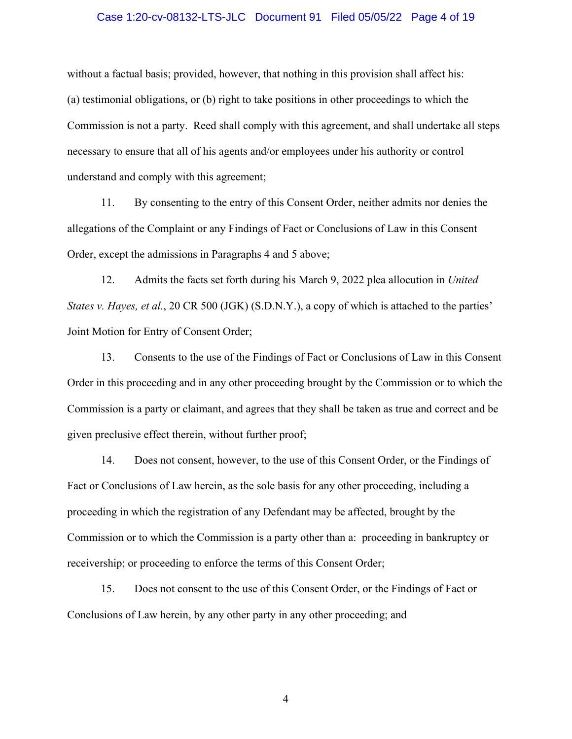#### Case 1:20-cv-08132-LTS-JLC Document 91 Filed 05/05/22 Page 4 of 19

without a factual basis; provided, however, that nothing in this provision shall affect his: (a) testimonial obligations, or (b) right to take positions in other proceedings to which the Commission is not a party. Reed shall comply with this agreement, and shall undertake all steps necessary to ensure that all of his agents and/or employees under his authority or control understand and comply with this agreement;

11. By consenting to the entry of this Consent Order, neither admits nor denies the allegations of the Complaint or any Findings of Fact or Conclusions of Law in this Consent Order, except the admissions in Paragraphs 4 and 5 above;

12. Admits the facts set forth during his March 9, 2022 plea allocution in *United States v. Hayes, et al., 20 CR 500 (JGK) (S.D.N.Y.), a copy of which is attached to the parties'* Joint Motion for Entry of Consent Order;

13. Consents to the use of the Findings of Fact or Conclusions of Law in this Consent Order in this proceeding and in any other proceeding brought by the Commission or to which the Commission is a party or claimant, and agrees that they shall be taken as true and correct and be given preclusive effect therein, without further proof;

14. Does not consent, however, to the use of this Consent Order, or the Findings of Fact or Conclusions of Law herein, as the sole basis for any other proceeding, including a proceeding in which the registration of any Defendant may be affected, brought by the Commission or to which the Commission is a party other than a: proceeding in bankruptcy or receivership; or proceeding to enforce the terms of this Consent Order;

15. Does not consent to the use of this Consent Order, or the Findings of Fact or Conclusions of Law herein, by any other party in any other proceeding; and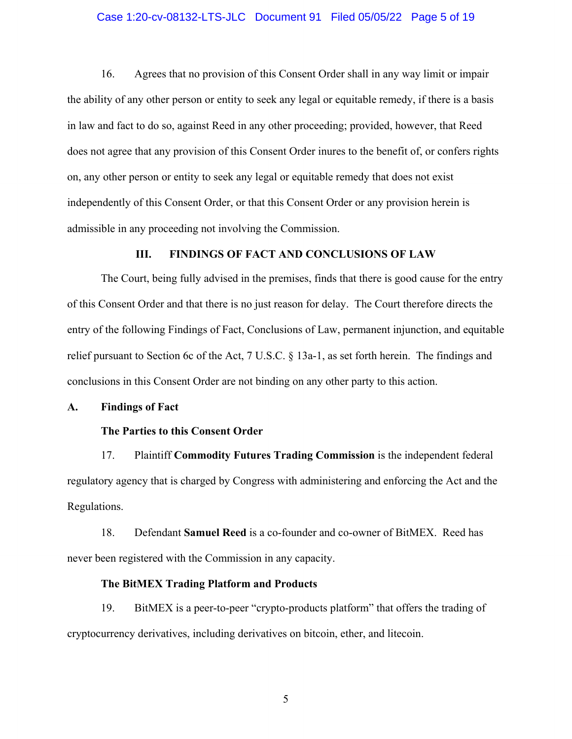#### Case 1:20-cv-08132-LTS-JLC Document 91 Filed 05/05/22 Page 5 of 19

16. Agrees that no provision of this Consent Order shall in any way limit or impair the ability of any other person or entity to seek any legal or equitable remedy, if there is a basis in law and fact to do so, against Reed in any other proceeding; provided, however, that Reed does not agree that any provision of this Consent Order inures to the benefit of, or confers rights on, any other person or entity to seek any legal or equitable remedy that does not exist independently of this Consent Order, or that this Consent Order or any provision herein is admissible in any proceeding not involving the Commission.

#### **III. FINDINGS OF FACT AND CONCLUSIONS OF LAW**

The Court, being fully advised in the premises, finds that there is good cause for the entry of this Consent Order and that there is no just reason for delay. The Court therefore directs the entry of the following Findings of Fact, Conclusions of Law, permanent injunction, and equitable relief pursuant to Section 6c of the Act, 7 U.S.C. § 13a-1, as set forth herein. The findings and conclusions in this Consent Order are not binding on any other party to this action.

#### **A. Findings of Fact**

#### **The Parties to this Consent Order**

17. Plaintiff **Commodity Futures Trading Commission** is the independent federal regulatory agency that is charged by Congress with administering and enforcing the Act and the Regulations.

18. Defendant **Samuel Reed** is a co-founder and co-owner of BitMEX. Reed has never been registered with the Commission in any capacity.

#### **The BitMEX Trading Platform and Products**

19. BitMEX is a peer-to-peer "crypto-products platform" that offers the trading of cryptocurrency derivatives, including derivatives on bitcoin, ether, and litecoin.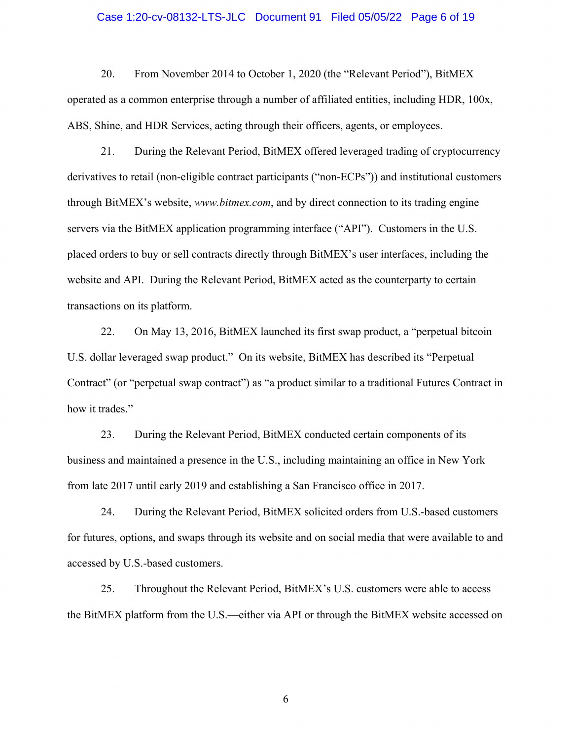#### Case 1:20-cv-08132-LTS-JLC Document 91 Filed 05/05/22 Page 6 of 19

20. From November 2014 to October 1, 2020 (the "Relevant Period"), BitMEX operated as a common enterprise through a number of affiliated entities, including HDR, 100x, ABS, Shine, and HDR Services, acting through their officers, agents, or employees.

21. During the Relevant Period, BitMEX offered leveraged trading of cryptocurrency derivatives to retail (non-eligible contract participants ("non-ECPs")) and institutional customers through BitMEX's website, *www.bitmex.com*, and by direct connection to its trading engine servers via the BitMEX application programming interface ("API"). Customers in the U.S. placed orders to buy or sell contracts directly through BitMEX's user interfaces, including the website and API. During the Relevant Period, BitMEX acted as the counterparty to certain transactions on its platform.

22. On May 13, 2016, BitMEX launched its first swap product, a "perpetual bitcoin U.S. dollar leveraged swap product." On its website, BitMEX has described its "Perpetual Contract" (or "perpetual swap contract") as "a product similar to a traditional Futures Contract in how it trades."

23. During the Relevant Period, BitMEX conducted certain components of its business and maintained a presence in the U.S., including maintaining an office in New York from late 2017 until early 2019 and establishing a San Francisco office in 2017.

24. During the Relevant Period, BitMEX solicited orders from U.S.-based customers for futures, options, and swaps through its website and on social media that were available to and accessed by U.S.-based customers.

25. Throughout the Relevant Period, BitMEX's U.S. customers were able to access the BitMEX platform from the U.S.—either via API or through the BitMEX website accessed on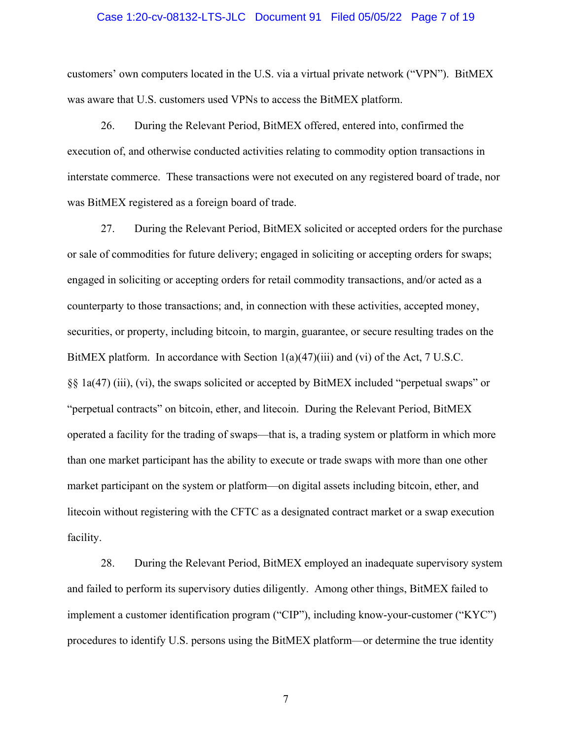#### Case 1:20-cv-08132-LTS-JLC Document 91 Filed 05/05/22 Page 7 of 19

customers' own computers located in the U.S. via a virtual private network ("VPN"). BitMEX was aware that U.S. customers used VPNs to access the BitMEX platform.

26. During the Relevant Period, BitMEX offered, entered into, confirmed the execution of, and otherwise conducted activities relating to commodity option transactions in interstate commerce. These transactions were not executed on any registered board of trade, nor was BitMEX registered as a foreign board of trade.

27. During the Relevant Period, BitMEX solicited or accepted orders for the purchase or sale of commodities for future delivery; engaged in soliciting or accepting orders for swaps; engaged in soliciting or accepting orders for retail commodity transactions, and/or acted as a counterparty to those transactions; and, in connection with these activities, accepted money, securities, or property, including bitcoin, to margin, guarantee, or secure resulting trades on the BitMEX platform. In accordance with Section  $1(a)(47)(iii)$  and (vi) of the Act, 7 U.S.C. §§ 1a(47) (iii), (vi), the swaps solicited or accepted by BitMEX included "perpetual swaps" or "perpetual contracts" on bitcoin, ether, and litecoin. During the Relevant Period, BitMEX operated a facility for the trading of swaps—that is, a trading system or platform in which more than one market participant has the ability to execute or trade swaps with more than one other market participant on the system or platform—on digital assets including bitcoin, ether, and litecoin without registering with the CFTC as a designated contract market or a swap execution facility.

28. During the Relevant Period, BitMEX employed an inadequate supervisory system and failed to perform its supervisory duties diligently. Among other things, BitMEX failed to implement a customer identification program ("CIP"), including know-your-customer ("KYC") procedures to identify U.S. persons using the BitMEX platform—or determine the true identity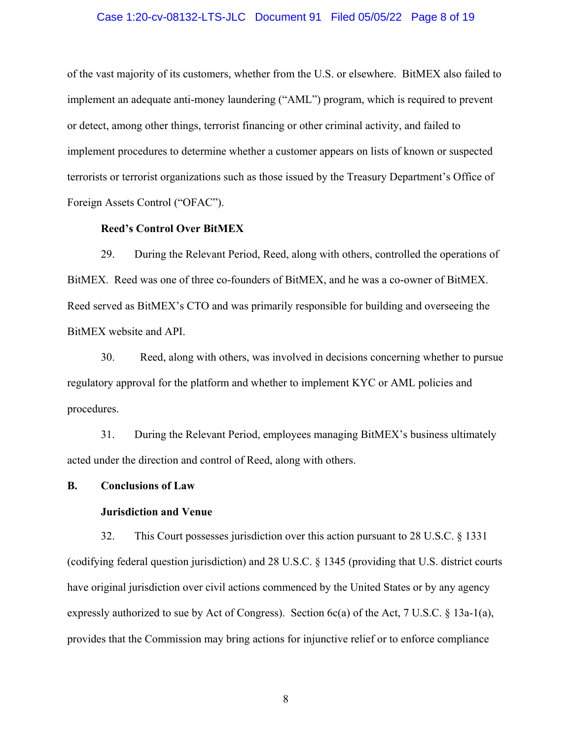#### Case 1:20-cv-08132-LTS-JLC Document 91 Filed 05/05/22 Page 8 of 19

of the vast majority of its customers, whether from the U.S. or elsewhere. BitMEX also failed to implement an adequate anti-money laundering ("AML") program, which is required to prevent or detect, among other things, terrorist financing or other criminal activity, and failed to implement procedures to determine whether a customer appears on lists of known or suspected terrorists or terrorist organizations such as those issued by the Treasury Department's Office of Foreign Assets Control ("OFAC").

#### **Reed's Control Over BitMEX**

29. During the Relevant Period, Reed, along with others, controlled the operations of BitMEX. Reed was one of three co-founders of BitMEX, and he was a co-owner of BitMEX. Reed served as BitMEX's CTO and was primarily responsible for building and overseeing the BitMEX website and API.

30. Reed, along with others, was involved in decisions concerning whether to pursue regulatory approval for the platform and whether to implement KYC or AML policies and procedures.

31. During the Relevant Period, employees managing BitMEX's business ultimately acted under the direction and control of Reed, along with others.

#### **B. Conclusions of Law**

#### **Jurisdiction and Venue**

32. This Court possesses jurisdiction over this action pursuant to 28 U.S.C. § 1331 (codifying federal question jurisdiction) and 28 U.S.C. § 1345 (providing that U.S. district courts have original jurisdiction over civil actions commenced by the United States or by any agency expressly authorized to sue by Act of Congress). Section 6c(a) of the Act, 7 U.S.C. § 13a-1(a), provides that the Commission may bring actions for injunctive relief or to enforce compliance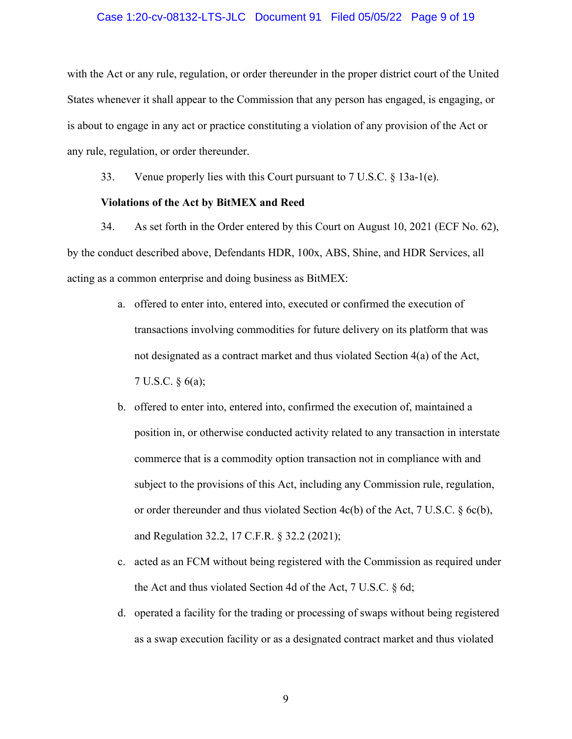#### Case 1:20-cv-08132-LTS-JLC Document 91 Filed 05/05/22 Page 9 of 19

with the Act or any rule, regulation, or order thereunder in the proper district court of the United States whenever it shall appear to the Commission that any person has engaged, is engaging, or is about to engage in any act or practice constituting a violation of any provision of the Act or any rule, regulation, or order thereunder.

33. Venue properly lies with this Court pursuant to 7 U.S.C. § 13a-1(e).

#### **Violations of the Act by BitMEX and Reed**

34. As set forth in the Order entered by this Court on August 10, 2021 (ECF No. 62), by the conduct described above, Defendants HDR, 100x, ABS, Shine, and HDR Services, all acting as a common enterprise and doing business as BitMEX:

- a. offered to enter into, entered into, executed or confirmed the execution of transactions involving commodities for future delivery on its platform that was not designated as a contract market and thus violated Section 4(a) of the Act, 7 U.S.C. § 6(a);
- b. offered to enter into, entered into, confirmed the execution of, maintained a position in, or otherwise conducted activity related to any transaction in interstate commerce that is a commodity option transaction not in compliance with and subject to the provisions of this Act, including any Commission rule, regulation, or order thereunder and thus violated Section  $4c(b)$  of the Act, 7 U.S.C. § 6c(b), and Regulation 32.2, 17 C.F.R. § 32.2 (2021);
- c. acted as an FCM without being registered with the Commission as required under the Act and thus violated Section 4d of the Act, 7 U.S.C. § 6d;
- d. operated a facility for the trading or processing of swaps without being registered as a swap execution facility or as a designated contract market and thus violated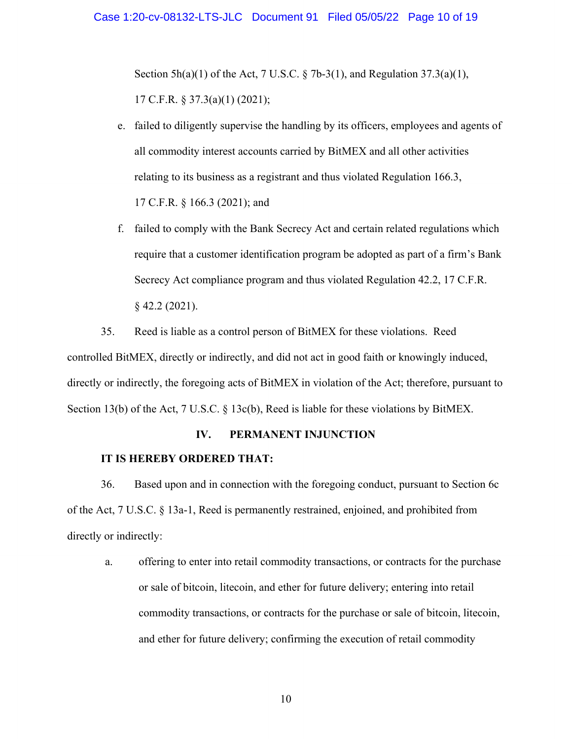Section 5h(a)(1) of the Act, 7 U.S.C. § 7b-3(1), and Regulation 37.3(a)(1), 17 C.F.R. § 37.3(a)(1) (2021);

- e. failed to diligently supervise the handling by its officers, employees and agents of all commodity interest accounts carried by BitMEX and all other activities relating to its business as a registrant and thus violated Regulation 166.3, 17 C.F.R. § 166.3 (2021); and
- f. failed to comply with the Bank Secrecy Act and certain related regulations which require that a customer identification program be adopted as part of a firm's Bank Secrecy Act compliance program and thus violated Regulation 42.2, 17 C.F.R. § 42.2 (2021).

35. Reed is liable as a control person of BitMEX for these violations. Reed controlled BitMEX, directly or indirectly, and did not act in good faith or knowingly induced, directly or indirectly, the foregoing acts of BitMEX in violation of the Act; therefore, pursuant to Section 13(b) of the Act, 7 U.S.C. § 13c(b), Reed is liable for these violations by BitMEX.

#### **IV. PERMANENT INJUNCTION**

#### **IT IS HEREBY ORDERED THAT:**

36. Based upon and in connection with the foregoing conduct, pursuant to Section 6c of the Act, 7 U.S.C. § 13a-1, Reed is permanently restrained, enjoined, and prohibited from directly or indirectly:

a. offering to enter into retail commodity transactions, or contracts for the purchase or sale of bitcoin, litecoin, and ether for future delivery; entering into retail commodity transactions, or contracts for the purchase or sale of bitcoin, litecoin, and ether for future delivery; confirming the execution of retail commodity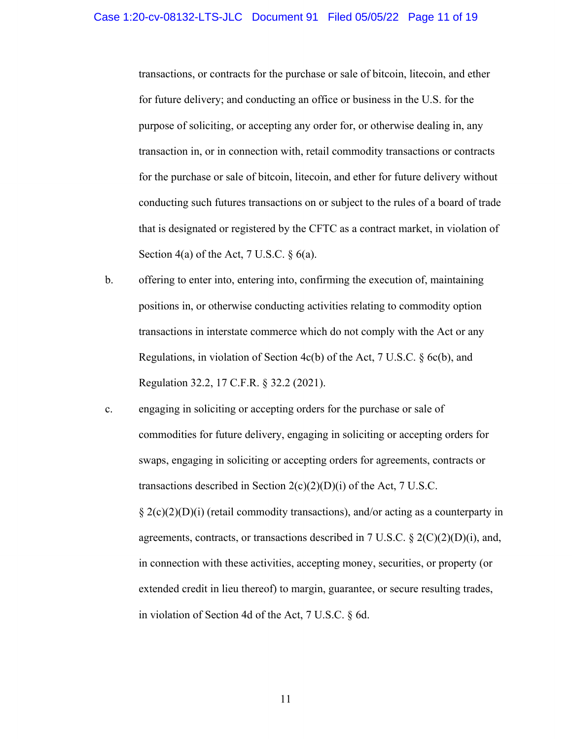transactions, or contracts for the purchase or sale of bitcoin, litecoin, and ether for future delivery; and conducting an office or business in the U.S. for the purpose of soliciting, or accepting any order for, or otherwise dealing in, any transaction in, or in connection with, retail commodity transactions or contracts for the purchase or sale of bitcoin, litecoin, and ether for future delivery without conducting such futures transactions on or subject to the rules of a board of trade that is designated or registered by the CFTC as a contract market, in violation of Section 4(a) of the Act, 7 U.S.C.  $\S$  6(a).

- b. offering to enter into, entering into, confirming the execution of, maintaining positions in, or otherwise conducting activities relating to commodity option transactions in interstate commerce which do not comply with the Act or any Regulations, in violation of Section 4c(b) of the Act, 7 U.S.C. § 6c(b), and Regulation 32.2, 17 C.F.R. § 32.2 (2021).
- c. engaging in soliciting or accepting orders for the purchase or sale of commodities for future delivery, engaging in soliciting or accepting orders for swaps, engaging in soliciting or accepting orders for agreements, contracts or transactions described in Section  $2(c)(2)(D)(i)$  of the Act, 7 U.S.C.  $\S 2(c)(2)(D)(i)$  (retail commodity transactions), and/or acting as a counterparty in agreements, contracts, or transactions described in 7 U.S.C.  $\S 2(C)(2)(D)(i)$ , and, in connection with these activities, accepting money, securities, or property (or extended credit in lieu thereof) to margin, guarantee, or secure resulting trades, in violation of Section 4d of the Act, 7 U.S.C. § 6d.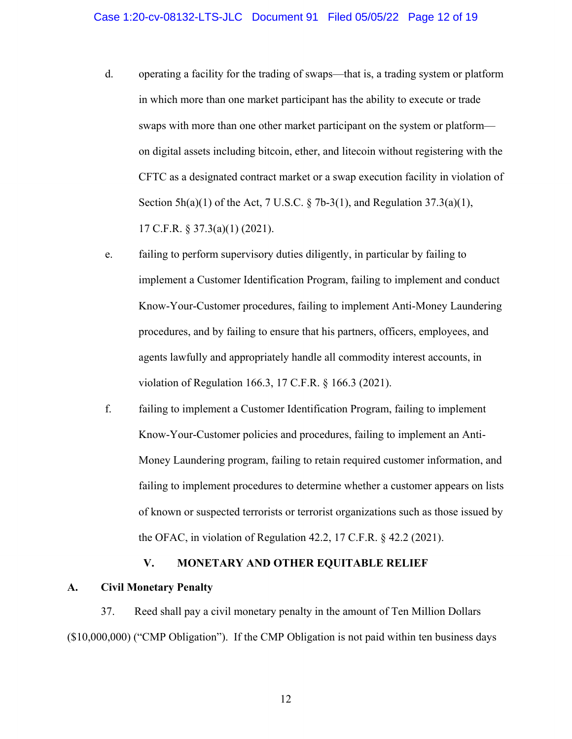- d. operating a facility for the trading of swaps—that is, a trading system or platform in which more than one market participant has the ability to execute or trade swaps with more than one other market participant on the system or platform on digital assets including bitcoin, ether, and litecoin without registering with the CFTC as a designated contract market or a swap execution facility in violation of Section  $5h(a)(1)$  of the Act, 7 U.S.C. § 7b-3(1), and Regulation 37.3(a)(1), 17 C.F.R. § 37.3(a)(1) (2021).
- e. failing to perform supervisory duties diligently, in particular by failing to implement a Customer Identification Program, failing to implement and conduct Know-Your-Customer procedures, failing to implement Anti-Money Laundering procedures, and by failing to ensure that his partners, officers, employees, and agents lawfully and appropriately handle all commodity interest accounts, in violation of Regulation 166.3, 17 C.F.R. § 166.3 (2021).
- f. failing to implement a Customer Identification Program, failing to implement Know-Your-Customer policies and procedures, failing to implement an Anti-Money Laundering program, failing to retain required customer information, and failing to implement procedures to determine whether a customer appears on lists of known or suspected terrorists or terrorist organizations such as those issued by the OFAC, in violation of Regulation 42.2, 17 C.F.R. § 42.2 (2021).

### **V. MONETARY AND OTHER EQUITABLE RELIEF**

#### **A. Civil Monetary Penalty**

37. Reed shall pay a civil monetary penalty in the amount of Ten Million Dollars (\$10,000,000) ("CMP Obligation"). If the CMP Obligation is not paid within ten business days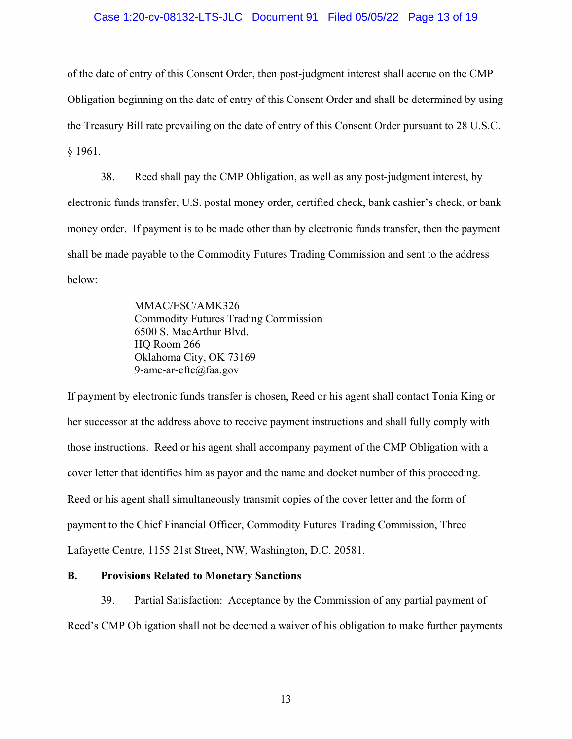#### Case 1:20-cv-08132-LTS-JLC Document 91 Filed 05/05/22 Page 13 of 19

of the date of entry of this Consent Order, then post-judgment interest shall accrue on the CMP Obligation beginning on the date of entry of this Consent Order and shall be determined by using the Treasury Bill rate prevailing on the date of entry of this Consent Order pursuant to 28 U.S.C. § 1961.

38. Reed shall pay the CMP Obligation, as well as any post-judgment interest, by electronic funds transfer, U.S. postal money order, certified check, bank cashier's check, or bank money order. If payment is to be made other than by electronic funds transfer, then the payment shall be made payable to the Commodity Futures Trading Commission and sent to the address below:

> MMAC/ESC/AMK326 Commodity Futures Trading Commission 6500 S. MacArthur Blvd. HQ Room 266 Oklahoma City, OK 73169 9-amc-ar-cftc@faa.gov

If payment by electronic funds transfer is chosen, Reed or his agent shall contact Tonia King or her successor at the address above to receive payment instructions and shall fully comply with those instructions. Reed or his agent shall accompany payment of the CMP Obligation with a cover letter that identifies him as payor and the name and docket number of this proceeding. Reed or his agent shall simultaneously transmit copies of the cover letter and the form of payment to the Chief Financial Officer, Commodity Futures Trading Commission, Three Lafayette Centre, 1155 21st Street, NW, Washington, D.C. 20581.

### **B. Provisions Related to Monetary Sanctions**

39. Partial Satisfaction: Acceptance by the Commission of any partial payment of Reed's CMP Obligation shall not be deemed a waiver of his obligation to make further payments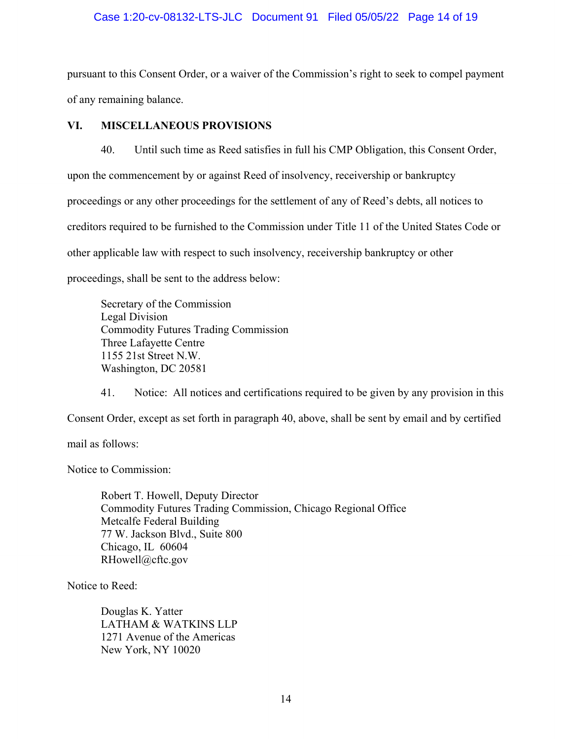#### Case 1:20-cv-08132-LTS-JLC Document 91 Filed 05/05/22 Page 14 of 19

pursuant to this Consent Order, or a waiver of the Commission's right to seek to compel payment of any remaining balance.

### **VI. MISCELLANEOUS PROVISIONS**

40. Until such time as Reed satisfies in full his CMP Obligation, this Consent Order, upon the commencement by or against Reed of insolvency, receivership or bankruptcy proceedings or any other proceedings for the settlement of any of Reed's debts, all notices to creditors required to be furnished to the Commission under Title 11 of the United States Code or other applicable law with respect to such insolvency, receivership bankruptcy or other proceedings, shall be sent to the address below:

Secretary of the Commission Legal Division Commodity Futures Trading Commission Three Lafayette Centre 1155 21st Street N.W. Washington, DC 20581

41. Notice: All notices and certifications required to be given by any provision in this Consent Order, except as set forth in paragraph 40, above, shall be sent by email and by certified

mail as follows:

Notice to Commission:

Robert T. Howell, Deputy Director Commodity Futures Trading Commission, Chicago Regional Office Metcalfe Federal Building 77 W. Jackson Blvd., Suite 800 Chicago, IL 60604 RHowell@cftc.gov

Notice to Reed:

Douglas K. Yatter LATHAM & WATKINS LLP 1271 Avenue of the Americas New York, NY 10020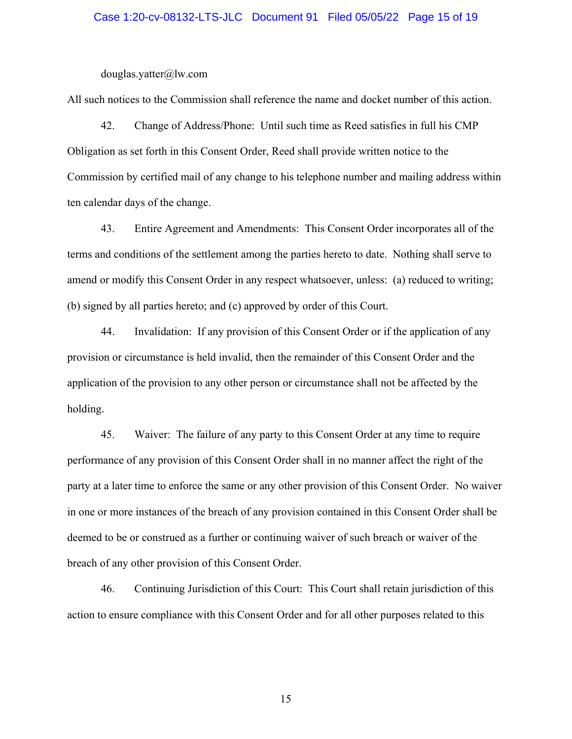#### Case 1:20-cv-08132-LTS-JLC Document 91 Filed 05/05/22 Page 15 of 19

douglas.yatter@lw.com

All such notices to the Commission shall reference the name and docket number of this action.

42. Change of Address/Phone: Until such time as Reed satisfies in full his CMP Obligation as set forth in this Consent Order, Reed shall provide written notice to the Commission by certified mail of any change to his telephone number and mailing address within ten calendar days of the change.

43. Entire Agreement and Amendments: This Consent Order incorporates all of the terms and conditions of the settlement among the parties hereto to date. Nothing shall serve to amend or modify this Consent Order in any respect whatsoever, unless: (a) reduced to writing; (b) signed by all parties hereto; and (c) approved by order of this Court.

44. Invalidation: If any provision of this Consent Order or if the application of any provision or circumstance is held invalid, then the remainder of this Consent Order and the application of the provision to any other person or circumstance shall not be affected by the holding.

45. Waiver: The failure of any party to this Consent Order at any time to require performance of any provision of this Consent Order shall in no manner affect the right of the party at a later time to enforce the same or any other provision of this Consent Order. No waiver in one or more instances of the breach of any provision contained in this Consent Order shall be deemed to be or construed as a further or continuing waiver of such breach or waiver of the breach of any other provision of this Consent Order.

46. Continuing Jurisdiction of this Court: This Court shall retain jurisdiction of this action to ensure compliance with this Consent Order and for all other purposes related to this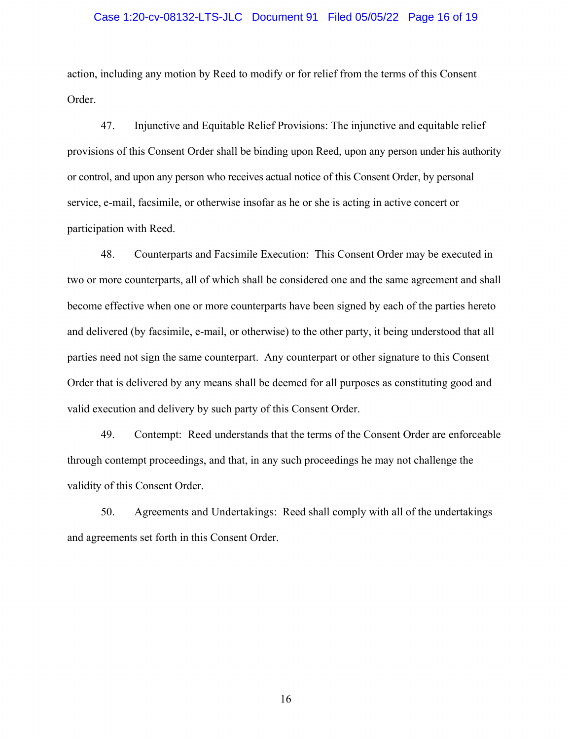#### Case 1:20-cv-08132-LTS-JLC Document 91 Filed 05/05/22 Page 16 of 19

action, including any motion by Reed to modify or for relief from the terms of this Consent Order.

47. Injunctive and Equitable Relief Provisions: The injunctive and equitable relief provisions of this Consent Order shall be binding upon Reed, upon any person under his authority or control, and upon any person who receives actual notice of this Consent Order, by personal service, e-mail, facsimile, or otherwise insofar as he or she is acting in active concert or participation with Reed.

48. Counterparts and Facsimile Execution: This Consent Order may be executed in two or more counterparts, all of which shall be considered one and the same agreement and shall become effective when one or more counterparts have been signed by each of the parties hereto and delivered (by facsimile, e-mail, or otherwise) to the other party, it being understood that all parties need not sign the same counterpart. Any counterpart or other signature to this Consent Order that is delivered by any means shall be deemed for all purposes as constituting good and valid execution and delivery by such party of this Consent Order.

49. Contempt: Reed understands that the terms of the Consent Order are enforceable through contempt proceedings, and that, in any such proceedings he may not challenge the validity of this Consent Order.

50. Agreements and Undertakings: Reed shall comply with all of the undertakings and agreements set forth in this Consent Order.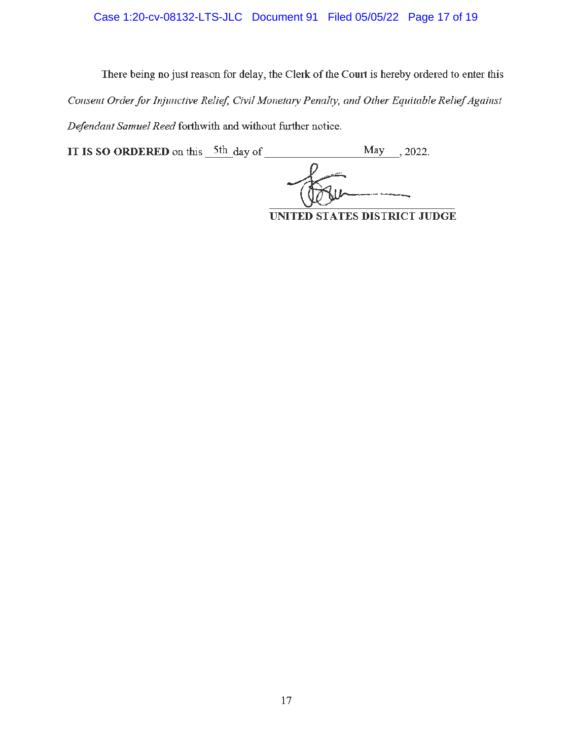# Case 1:20-cv-08132-LTS-JLC Document 91 Filed 05/05/22 Page 17 of 19

There being no just reason for delay, the Clerk of the Court is hereby ordered to enter this *Consent Order for Injunctive Relief, Civil Monetary Penalty, and Other Equitable Relief Against Defendant Samuel Reed forthwith and without further notice.* 

**IT IS SO ORDERED** on this  $5th$  day of May , 2022.

**UNITED STATES DISTRICT JUDGE**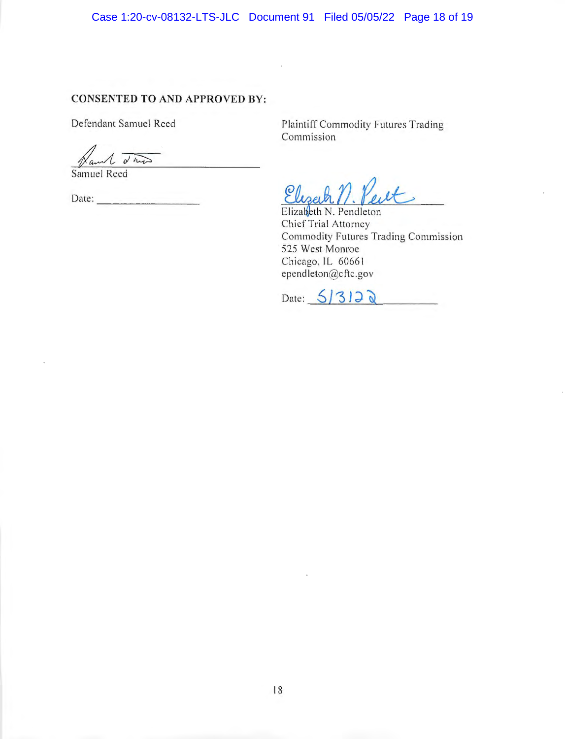Case 1:20-cv-08132-LTS-JLC Document 91 Filed 05/05/22 Page 18 of 19

### **CONSENTED TO AND APPROVED BY:**

Defendant Samuel Reed

 $1,0\sqrt{2}$ 

Samuel Reed

Date:  $\qquad \qquad$ 

Plaintiff Commodity Futures Trading Commission

Eliseph est

Elizabeth N. Pendleton Chief Trial Attorney Commodity Futures Trading Commission 525 West Monroe Chicago, IL 60661 ependleton@cftc.gov

Date:  $5/312$